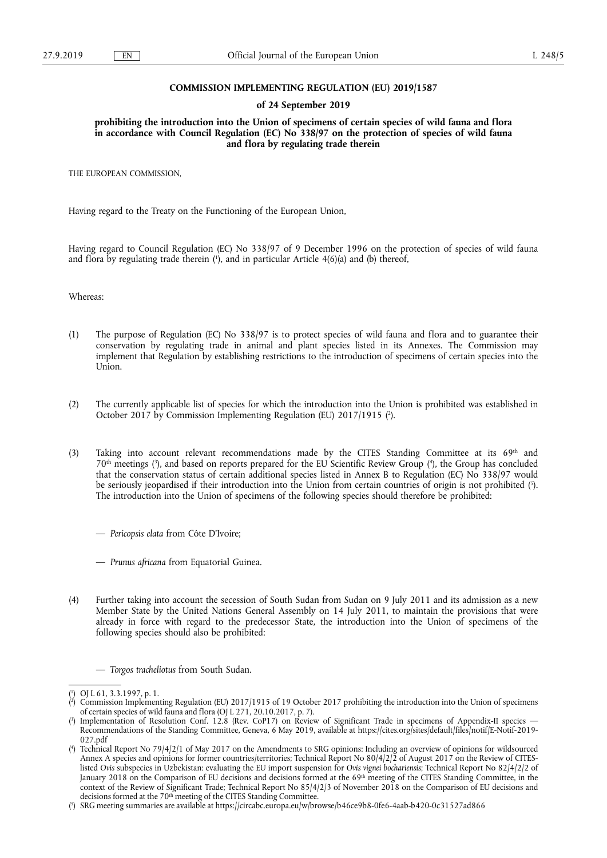### **COMMISSION IMPLEMENTING REGULATION (EU) 2019/1587**

### **of 24 September 2019**

**prohibiting the introduction into the Union of specimens of certain species of wild fauna and flora in accordance with Council Regulation (EC) No 338/97 on the protection of species of wild fauna and flora by regulating trade therein** 

THE EUROPEAN COMMISSION,

Having regard to the Treaty on the Functioning of the European Union,

Having regard to Council Regulation (EC) No 338/97 of 9 December 1996 on the protection of species of wild fauna and flora by regulating trade therein (<sup>1</sup>), and in particular Article 4(6)(a) and (b) thereof,

Whereas:

- (1) The purpose of Regulation (EC) No 338/97 is to protect species of wild fauna and flora and to guarantee their conservation by regulating trade in animal and plant species listed in its Annexes. The Commission may implement that Regulation by establishing restrictions to the introduction of specimens of certain species into the Union.
- (2) The currently applicable list of species for which the introduction into the Union is prohibited was established in October 2017 by Commission Implementing Regulation (EU) 2017/1915 ( 2 ).
- (3) Taking into account relevant recommendations made by the CITES Standing Committee at its 69th and 70th meetings ( 3 ), and based on reports prepared for the EU Scientific Review Group ( 4 ), the Group has concluded that the conservation status of certain additional species listed in Annex B to Regulation (EC) No 338/97 would be seriously jeopardised if their introduction into the Union from certain countries of origin is not prohibited ( 5 ). The introduction into the Union of specimens of the following species should therefore be prohibited:
	- *Pericopsis elata* from Côte D'Ivoire;
	- *Prunus africana* from Equatorial Guinea.
- (4) Further taking into account the secession of South Sudan from Sudan on 9 July 2011 and its admission as a new Member State by the United Nations General Assembly on 14 July 2011, to maintain the provisions that were already in force with regard to the predecessor State, the introduction into the Union of specimens of the following species should also be prohibited:

— *Torgos tracheliotus* from South Sudan.

<sup>(</sup> 1 ) OJ L 61, 3.3.1997, p. 1.

<sup>(</sup> 2 ) Commission Implementing Regulation (EU) 2017/1915 of 19 October 2017 prohibiting the introduction into the Union of specimens of certain species of wild fauna and flora (OJ L 271, 20.10.2017, p. 7).

<sup>(</sup> 3 ) Implementation of Resolution Conf. 12.8 (Rev. CoP17) on Review of Significant Trade in specimens of Appendix-II species — Recommendations of the Standing Committee, Geneva, 6 May 2019, available at [https://cites.org/sites/default/files/notif/E-Notif-2019-](https://cites.org/sites/default/files/notif/E-Notif-2019-027.pdf)  [027.pdf](https://cites.org/sites/default/files/notif/E-Notif-2019-027.pdf)

<sup>(</sup> 4 ) Technical Report No 79/4/2/1 of May 2017 on the Amendments to SRG opinions: Including an overview of opinions for wildsourced Annex A species and opinions for former countries/territories; Technical Report No 80/4/2/2 of August 2017 on the Review of CITESlisted *Ovis* subspecies in Uzbekistan: evaluating the EU import suspension for *Ovis vignei bochariensis*; Technical Report No 82/4/2/2 of January 2018 on the Comparison of EU decisions and decisions formed at the 69<sup>th</sup> meeting of the CITES Standing Committee, in the context of the Review of Significant Trade; Technical Report No 85/4/2/3 of November 2018 on the Comparison of EU decisions and decisions formed at the 70<sup>th</sup> meeting of the CITES Standing Committee.

<sup>(</sup> 5 ) SRG meeting summaries are available at<https://circabc.europa.eu/w/browse/b46ce9b8-0fe6-4aab-b420-0c31527ad866>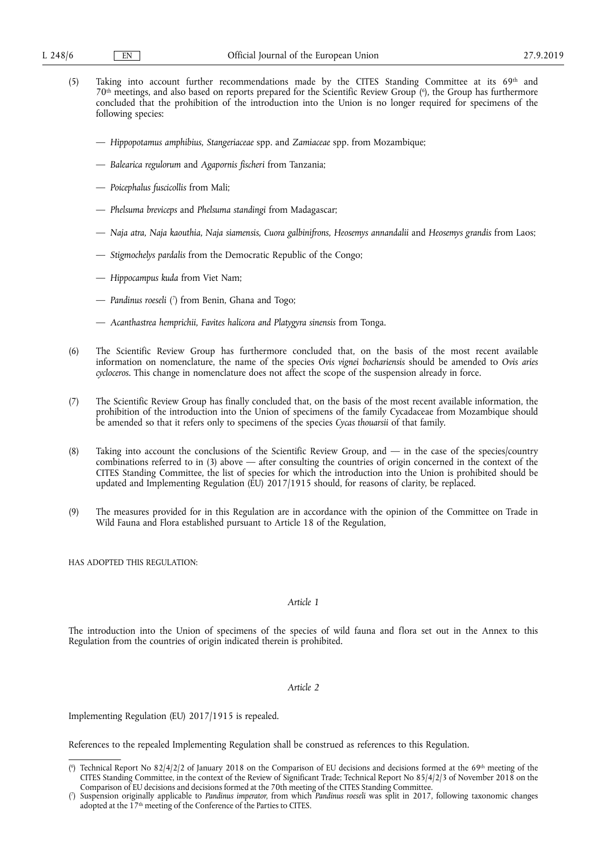- (5) Taking into account further recommendations made by the CITES Standing Committee at its 69th and 70th meetings, and also based on reports prepared for the Scientific Review Group ( 6 ), the Group has furthermore concluded that the prohibition of the introduction into the Union is no longer required for specimens of the following species:
	- *Hippopotamus amphibius, Stangeriaceae* spp. and *Zamiaceae* spp. from Mozambique;
	- *Balearica regulorum* and *Agapornis fischeri* from Tanzania;
	- *Poicephalus fuscicollis* from Mali;
	- *Phelsuma breviceps* and *Phelsuma standingi* from Madagascar;
	- *Naja atra, Naja kaouthia, Naja siamensis, Cuora galbinifrons, Heosemys annandalii* and *Heosemys grandis* from Laos;
	- *Stigmochelys pardalis* from the Democratic Republic of the Congo;
	- *Hippocampus kuda* from Viet Nam;
	- *Pandinus roeseli* ( 7 ) from Benin, Ghana and Togo;
	- *Acanthastrea hemprichii, Favites halicora and Platygyra sinensis* from Tonga.
- (6) The Scientific Review Group has furthermore concluded that, on the basis of the most recent available information on nomenclature, the name of the species *Ovis vignei bochariensis* should be amended to *Ovis aries cycloceros*. This change in nomenclature does not affect the scope of the suspension already in force.
- (7) The Scientific Review Group has finally concluded that, on the basis of the most recent available information, the prohibition of the introduction into the Union of specimens of the family Cycadaceae from Mozambique should be amended so that it refers only to specimens of the species *Cycas thouarsii* of that family.
- (8) Taking into account the conclusions of the Scientific Review Group, and in the case of the species/country combinations referred to in (3) above — after consulting the countries of origin concerned in the context of the CITES Standing Committee, the list of species for which the introduction into the Union is prohibited should be updated and Implementing Regulation (EU) 2017/1915 should, for reasons of clarity, be replaced.
- (9) The measures provided for in this Regulation are in accordance with the opinion of the Committee on Trade in Wild Fauna and Flora established pursuant to Article 18 of the Regulation,

HAS ADOPTED THIS REGULATION:

### *Article 1*

The introduction into the Union of specimens of the species of wild fauna and flora set out in the Annex to this Regulation from the countries of origin indicated therein is prohibited.

## *Article 2*

Implementing Regulation (EU) 2017/1915 is repealed.

References to the repealed Implementing Regulation shall be construed as references to this Regulation.

<sup>(&</sup>lt;sup>6</sup>) Technical Report No 82/4/2/2 of January 2018 on the Comparison of EU decisions and decisions formed at the 69<sup>th</sup> meeting of the CITES Standing Committee, in the context of the Review of Significant Trade; Technical Report No 85/4/2/3 of November 2018 on the Comparison of EU decisions and decisions formed at the 70th meeting of the CITES Standing Committee.

<sup>(</sup> 7 ) Suspension originally applicable to *Pandinus imperator*, from which *Pandinus roeseli* was split in 2017, following taxonomic changes adopted at the  $17<sup>th</sup>$  meeting of the Conference of the Parties to CITES.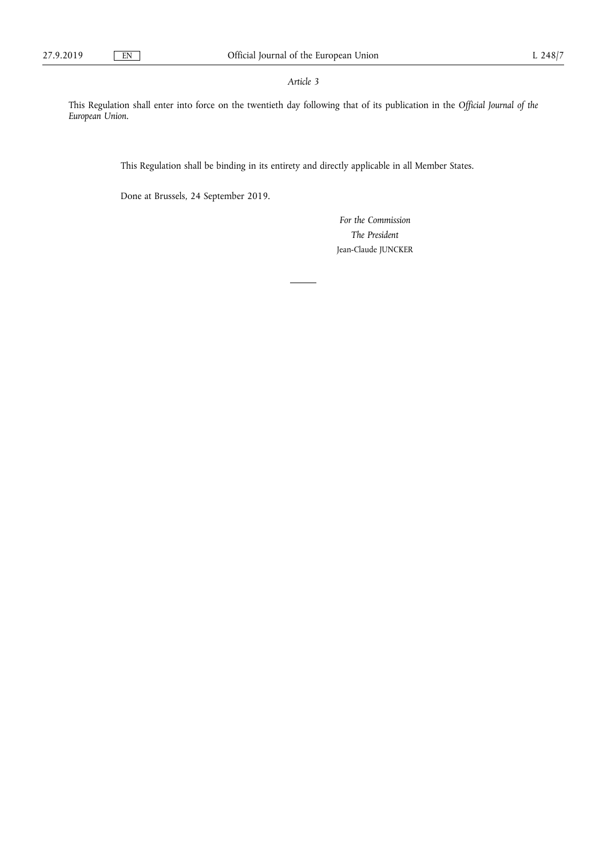# *Article 3*

This Regulation shall enter into force on the twentieth day following that of its publication in the *Official Journal of the European Union*.

This Regulation shall be binding in its entirety and directly applicable in all Member States.

Done at Brussels, 24 September 2019.

*For the Commission The President*  Jean-Claude JUNCKER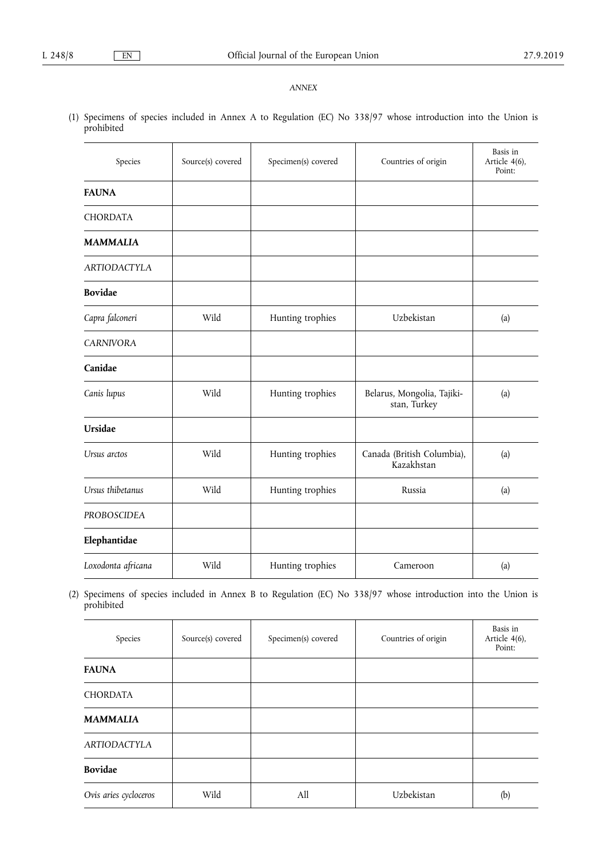# *ANNEX*

(1) Specimens of species included in Annex A to Regulation (EC) No 338/97 whose introduction into the Union is prohibited

| Species             | Source(s) covered | Specimen(s) covered | Countries of origin                        | Basis in<br>Article 4(6),<br>Point: |
|---------------------|-------------------|---------------------|--------------------------------------------|-------------------------------------|
| <b>FAUNA</b>        |                   |                     |                                            |                                     |
| <b>CHORDATA</b>     |                   |                     |                                            |                                     |
| <b>MAMMALIA</b>     |                   |                     |                                            |                                     |
| <b>ARTIODACTYLA</b> |                   |                     |                                            |                                     |
| <b>Bovidae</b>      |                   |                     |                                            |                                     |
| Capra falconeri     | Wild              | Hunting trophies    | Uzbekistan                                 | (a)                                 |
| <b>CARNIVORA</b>    |                   |                     |                                            |                                     |
| Canidae             |                   |                     |                                            |                                     |
| Canis lupus         | Wild              | Hunting trophies    | Belarus, Mongolia, Tajiki-<br>stan, Turkey | (a)                                 |
| Ursidae             |                   |                     |                                            |                                     |
| Ursus arctos        | Wild              | Hunting trophies    | Canada (British Columbia),<br>Kazakhstan   | (a)                                 |
| Ursus thibetanus    | Wild              | Hunting trophies    | Russia                                     | (a)                                 |
| <b>PROBOSCIDEA</b>  |                   |                     |                                            |                                     |
| Elephantidae        |                   |                     |                                            |                                     |
| Loxodonta africana  | Wild              | Hunting trophies    | Cameroon                                   | (a)                                 |

(2) Specimens of species included in Annex B to Regulation (EC) No 338/97 whose introduction into the Union is prohibited

| Species               | Source(s) covered | Specimen(s) covered | Countries of origin | Basis in<br>Article 4(6),<br>Point: |
|-----------------------|-------------------|---------------------|---------------------|-------------------------------------|
| <b>FAUNA</b>          |                   |                     |                     |                                     |
| <b>CHORDATA</b>       |                   |                     |                     |                                     |
| <b>MAMMALIA</b>       |                   |                     |                     |                                     |
| <b>ARTIODACTYLA</b>   |                   |                     |                     |                                     |
| <b>Bovidae</b>        |                   |                     |                     |                                     |
| Ovis aries cycloceros | Wild              | All                 | Uzbekistan          | (b)                                 |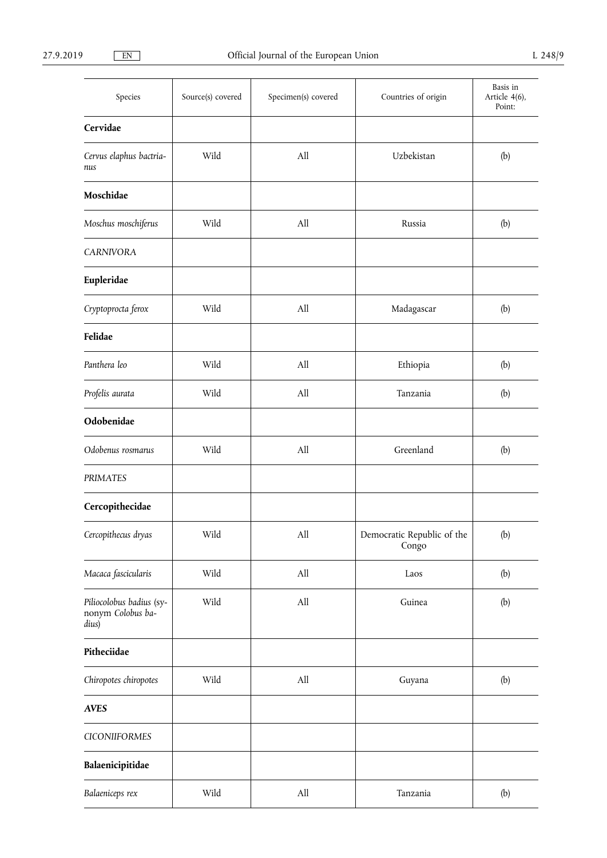| Species                                                | Source(s) covered | Specimen(s) covered | Countries of origin                 | Basis in<br>Article 4(6),<br>Point: |
|--------------------------------------------------------|-------------------|---------------------|-------------------------------------|-------------------------------------|
| Cervidae                                               |                   |                     |                                     |                                     |
| Cervus elaphus bactria-<br>nus                         | Wild              | All                 | Uzbekistan                          | (b)                                 |
| Moschidae                                              |                   |                     |                                     |                                     |
| Moschus moschiferus                                    | Wild              | All                 | Russia                              | (b)                                 |
| <b>CARNIVORA</b>                                       |                   |                     |                                     |                                     |
| Eupleridae                                             |                   |                     |                                     |                                     |
| Cryptoprocta ferox                                     | Wild              | All                 | Madagascar                          | (b)                                 |
| Felidae                                                |                   |                     |                                     |                                     |
| Panthera leo                                           | Wild              | All                 | Ethiopia                            | (b)                                 |
| Profelis aurata                                        | Wild              | $\rm All$           | Tanzania                            | (b)                                 |
| Odobenidae                                             |                   |                     |                                     |                                     |
| Odobenus rosmarus                                      | Wild              | All                 | Greenland                           | (b)                                 |
| PRIMATES                                               |                   |                     |                                     |                                     |
| Cercopithecidae                                        |                   |                     |                                     |                                     |
| Cercopithecus dryas                                    | Wild              | All                 | Democratic Republic of the<br>Congo | (b)                                 |
| Macaca fascicularis                                    | Wild              | All                 | Laos                                | (b)                                 |
| Piliocolobus badius (sy-<br>nonym Colobus ba-<br>dius) | Wild              | $\rm All$           | Guinea                              | (b)                                 |
| Pitheciidae                                            |                   |                     |                                     |                                     |
| Chiropotes chiropotes                                  | Wild              | All                 | Guyana                              | (b)                                 |
| <b>AVES</b>                                            |                   |                     |                                     |                                     |
| <b>CICONIIFORMES</b>                                   |                   |                     |                                     |                                     |
| Balaenicipitidae                                       |                   |                     |                                     |                                     |
| Balaeniceps rex                                        | Wild              | $\rm All$           | Tanzania                            | (b)                                 |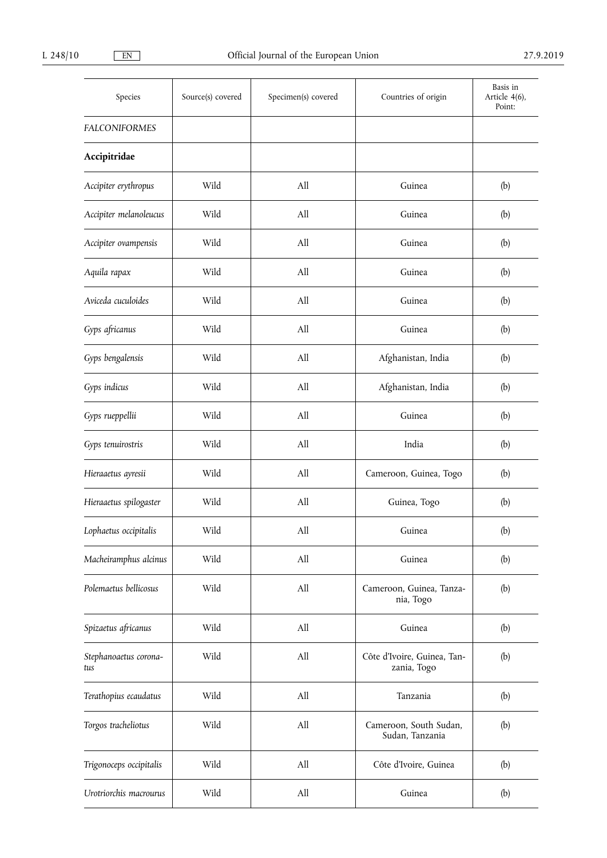| Species                      | Source(s) covered | Specimen(s) covered | Countries of origin                        | Basis in<br>Article 4(6),<br>Point: |
|------------------------------|-------------------|---------------------|--------------------------------------------|-------------------------------------|
| <b>FALCONIFORMES</b>         |                   |                     |                                            |                                     |
| Accipitridae                 |                   |                     |                                            |                                     |
| Accipiter erythropus         | Wild              | All                 | Guinea                                     | (b)                                 |
| Accipiter melanoleucus       | Wild              | All                 | Guinea                                     | (b)                                 |
| Accipiter ovampensis         | Wild              | All                 | Guinea                                     | (b)                                 |
| Aquila rapax                 | Wild              | All                 | Guinea                                     | (b)                                 |
| Aviceda cuculoides           | Wild              | All                 | Guinea                                     | (b)                                 |
| Gyps africanus               | Wild              | All                 | Guinea                                     | (b)                                 |
| Gyps bengalensis             | Wild              | All                 | Afghanistan, India                         | (b)                                 |
| Gyps indicus                 | Wild              | All                 | Afghanistan, India                         | (b)                                 |
| Gyps rueppellii              | Wild              | All                 | Guinea                                     | (b)                                 |
| Gyps tenuirostris            | Wild              | All                 | India                                      | (b)                                 |
| Hieraaetus ayresii           | Wild              | All                 | Cameroon, Guinea, Togo                     | (b)                                 |
| Hieraaetus spilogaster       | Wild              | All                 | Guinea, Togo                               | (b)                                 |
| Lophaetus occipitalis        | Wild              | All                 | Guinea                                     | (b)                                 |
| Macheiramphus alcinus        | Wild              | All                 | Guinea                                     | (b)                                 |
| Polemaetus bellicosus        | Wild              | All                 | Cameroon, Guinea, Tanza-<br>nia, Togo      | (b)                                 |
| Spizaetus africanus          | Wild              | All                 | Guinea                                     | (b)                                 |
| Stephanoaetus corona-<br>tus | Wild              | All                 | Côte d'Ivoire, Guinea, Tan-<br>zania, Togo | (b)                                 |
| Terathopius ecaudatus        | Wild              | $\rm All$           | Tanzania                                   | (b)                                 |
| Torgos tracheliotus          | Wild              | All                 | Cameroon, South Sudan,<br>Sudan, Tanzania  | (b)                                 |
| Trigonoceps occipitalis      | Wild              | All                 | Côte d'Ivoire, Guinea                      | (b)                                 |
| Urotriorchis macrourus       | Wild              | All                 | Guinea                                     | (b)                                 |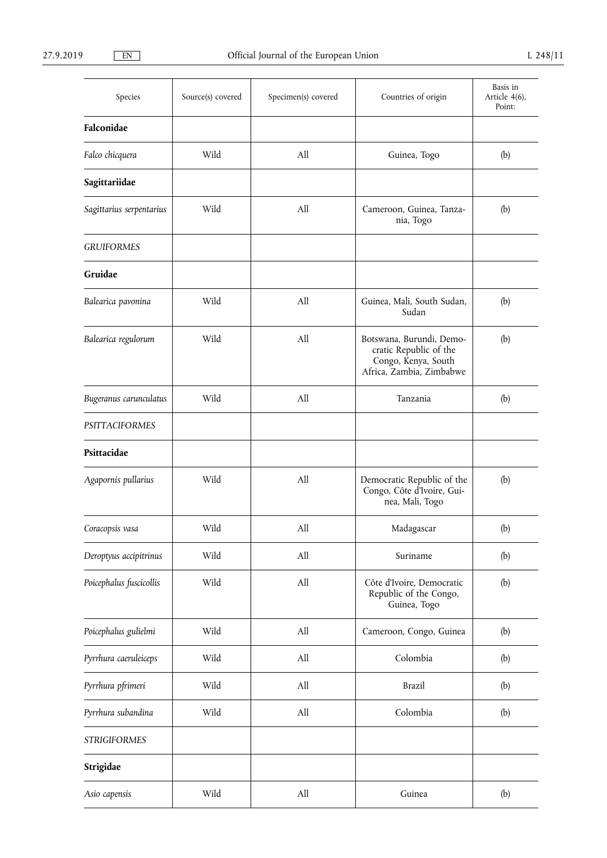| Species                  | Source(s) covered | Specimen(s) covered | Countries of origin                                                                                   | Basis in<br>Article 4(6),<br>Point: |
|--------------------------|-------------------|---------------------|-------------------------------------------------------------------------------------------------------|-------------------------------------|
| Falconidae               |                   |                     |                                                                                                       |                                     |
| Falco chicquera          | Wild              | All                 | Guinea, Togo                                                                                          | (b)                                 |
| Sagittariidae            |                   |                     |                                                                                                       |                                     |
| Sagittarius serpentarius | Wild              | All                 | Cameroon, Guinea, Tanza-<br>nia, Togo                                                                 | (b)                                 |
| <b>GRUIFORMES</b>        |                   |                     |                                                                                                       |                                     |
| Gruidae                  |                   |                     |                                                                                                       |                                     |
| Balearica pavonina       | Wild              | All                 | Guinea, Mali, South Sudan,<br>Sudan                                                                   | (b)                                 |
| Balearica regulorum      | Wild              | A11                 | Botswana, Burundi, Demo-<br>cratic Republic of the<br>Congo, Kenya, South<br>Africa, Zambia, Zimbabwe | (b)                                 |
| Bugeranus carunculatus   | Wild              | All                 | Tanzania                                                                                              | (b)                                 |
| <b>PSITTACIFORMES</b>    |                   |                     |                                                                                                       |                                     |
| Psittacidae              |                   |                     |                                                                                                       |                                     |
| Agapornis pullarius      | Wild              | All                 | Democratic Republic of the<br>Congo, Côte d'Ivoire, Gui-<br>nea, Mali, Togo                           | (b)                                 |
| Coracopsis vasa          | Wild              | All                 | Madagascar                                                                                            | (b)                                 |
| Deroptyus accipitrinus   | Wild              | All                 | Suriname                                                                                              | (b)                                 |
| Poicephalus fuscicollis  | Wild              | All                 | Côte d'Ivoire, Democratic<br>Republic of the Congo,<br>Guinea, Togo                                   | (b)                                 |
| Poicephalus gulielmi     | Wild              | All                 | Cameroon, Congo, Guinea                                                                               | (b)                                 |
| Pyrrhura caeruleiceps    | Wild              | All                 | Colombia                                                                                              | (b)                                 |
| Pyrrhura pfrimeri        | Wild              | All                 | <b>Brazil</b>                                                                                         | (b)                                 |
| Pyrrhura subandina       | Wild              | All                 | Colombia                                                                                              | (b)                                 |
| <b>STRIGIFORMES</b>      |                   |                     |                                                                                                       |                                     |
| Strigidae                |                   |                     |                                                                                                       |                                     |
| Asio capensis            | Wild              | All                 | Guinea                                                                                                | (b)                                 |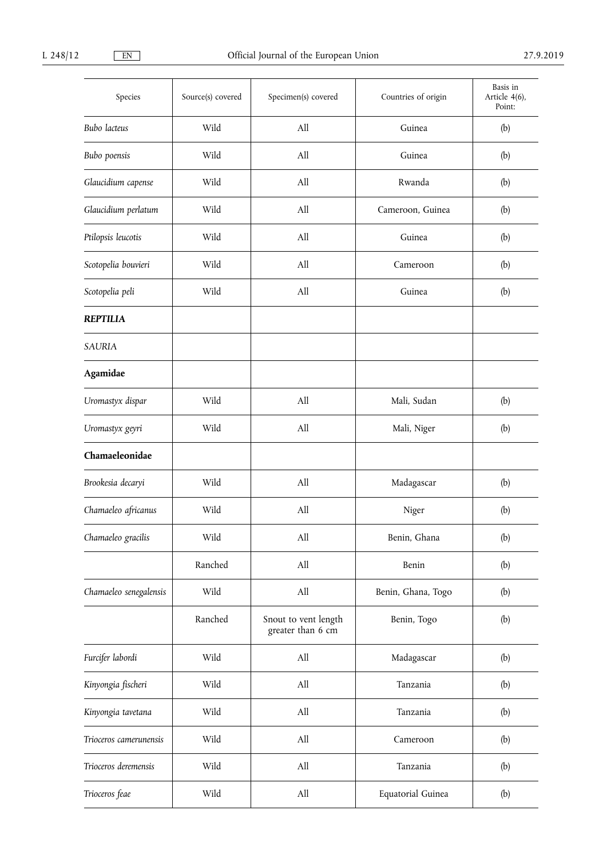| Species                | Source(s) covered | Specimen(s) covered                       | Countries of origin | Basis in<br>Article 4(6),<br>Point: |
|------------------------|-------------------|-------------------------------------------|---------------------|-------------------------------------|
| Bubo lacteus           | Wild              | All                                       | Guinea              | (b)                                 |
| Bubo poensis           | Wild              | All                                       | Guinea              | (b)                                 |
| Glaucidium capense     | Wild              | All                                       | Rwanda              | (b)                                 |
| Glaucidium perlatum    | Wild              | All                                       | Cameroon, Guinea    | (b)                                 |
| Ptilopsis leucotis     | Wild              | All                                       | Guinea              | (b)                                 |
| Scotopelia bouvieri    | Wild              | All                                       | Cameroon            | (b)                                 |
| Scotopelia peli        | Wild              | All                                       | Guinea              | (b)                                 |
| <b>REPTILIA</b>        |                   |                                           |                     |                                     |
| SAURIA                 |                   |                                           |                     |                                     |
| Agamidae               |                   |                                           |                     |                                     |
| Uromastyx dispar       | Wild              | All                                       | Mali, Sudan         | (b)                                 |
| Uromastyx geyri        | Wild              | All                                       | Mali, Niger         | (b)                                 |
| Chamaeleonidae         |                   |                                           |                     |                                     |
| Brookesia decaryi      | Wild              | All                                       | Madagascar          | (b)                                 |
| Chamaeleo africanus    | Wild              | All                                       | Niger               | (b)                                 |
| Chamaeleo gracilis     | Wild              | All                                       | Benin, Ghana        | (b)                                 |
|                        | Ranched           | $\rm All$                                 | Benin               | (b)                                 |
| Chamaeleo senegalensis | Wild              | All                                       | Benin, Ghana, Togo  | (b)                                 |
|                        | Ranched           | Snout to vent length<br>greater than 6 cm | Benin, Togo         | (b)                                 |
| Furcifer labordi       | Wild              | All                                       | Madagascar          | (b)                                 |
| Kinyongia fischeri     | Wild              | $\rm All$                                 | Tanzania            | (b)                                 |
| Kinyongia tavetana     | Wild              | All                                       | Tanzania            | (b)                                 |
| Trioceros camerunensis | Wild              | All                                       | Cameroon            | (b)                                 |
| Trioceros deremensis   | Wild              | All                                       | Tanzania            | (b)                                 |
| Trioceros feae         | Wild              | $\rm All$                                 | Equatorial Guinea   | (b)                                 |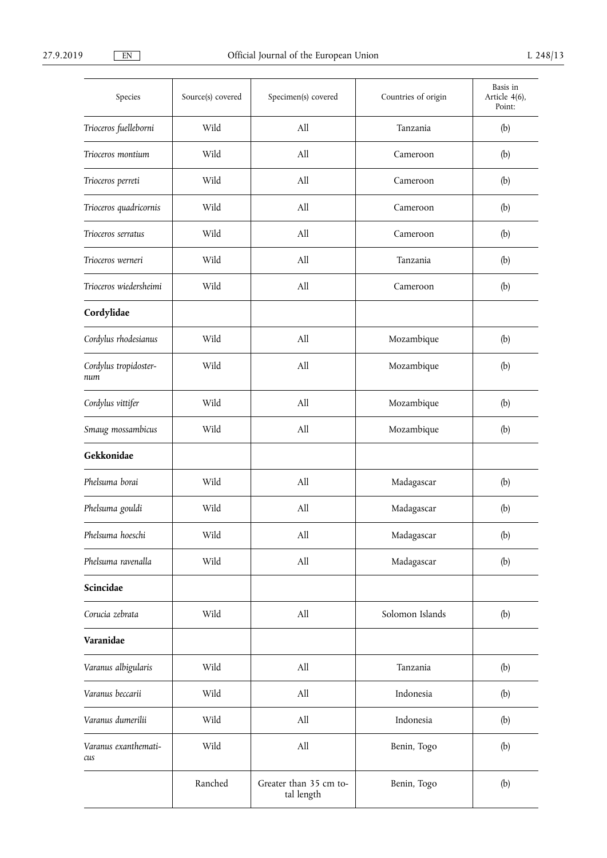| Species                      | Source(s) covered | Specimen(s) covered                  | Countries of origin | Basis in<br>Article 4(6),<br>Point: |
|------------------------------|-------------------|--------------------------------------|---------------------|-------------------------------------|
| Trioceros fuelleborni        | Wild              | All                                  | Tanzania            | (b)                                 |
| Trioceros montium            | Wild              | All                                  | Cameroon            | (b)                                 |
| Trioceros perreti            | Wild              | All                                  | Cameroon            | (b)                                 |
| Trioceros quadricornis       | Wild              | All                                  | Cameroon            | (b)                                 |
| Trioceros serratus           | Wild              | All                                  | Cameroon            | (b)                                 |
| Trioceros werneri            | Wild              | All                                  | Tanzania            | (b)                                 |
| Trioceros wiedersheimi       | Wild              | All                                  | Cameroon            | (b)                                 |
| Cordylidae                   |                   |                                      |                     |                                     |
| Cordylus rhodesianus         | Wild              | All                                  | Mozambique          | (b)                                 |
| Cordylus tropidoster-<br>num | Wild              | All                                  | Mozambique          | (b)                                 |
| Cordylus vittifer            | Wild              | All                                  | Mozambique          | (b)                                 |
| Smaug mossambicus            | Wild              | All                                  | Mozambique          | (b)                                 |
| Gekkonidae                   |                   |                                      |                     |                                     |
| Phelsuma borai               | Wild              | All                                  | Madagascar          | (b)                                 |
| Phelsuma gouldi              | Wild              | All                                  | Madagascar          | (b)                                 |
| Phelsuma hoeschi             | Wild              | All                                  | Madagascar          | (b)                                 |
| Phelsuma ravenalla           | Wild              | All                                  | Madagascar          | (b)                                 |
| Scincidae                    |                   |                                      |                     |                                     |
| Corucia zebrata              | Wild              | All                                  | Solomon Islands     | (b)                                 |
| Varanidae                    |                   |                                      |                     |                                     |
| Varanus albigularis          | Wild              | All                                  | Tanzania            | (b)                                 |
| Varanus beccarii             | Wild              | All                                  | Indonesia           | (b)                                 |
| Varanus dumerilii            | Wild              | All                                  | Indonesia           | (b)                                 |
| Varanus exanthemati-<br>cus  | Wild              | All                                  | Benin, Togo         | (b)                                 |
|                              | Ranched           | Greater than 35 cm to-<br>tal length | Benin, Togo         | (b)                                 |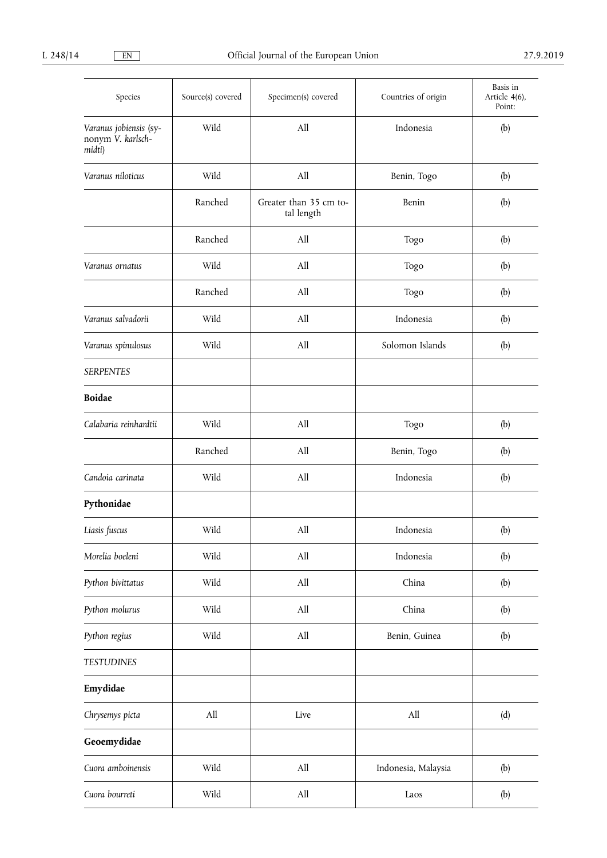| Species                                               | Source(s) covered | Specimen(s) covered                  | Countries of origin | Basis in<br>Article 4(6),<br>Point: |
|-------------------------------------------------------|-------------------|--------------------------------------|---------------------|-------------------------------------|
| Varanus jobiensis (sy-<br>nonym V. karlsch-<br>midti) | Wild              | All                                  | Indonesia           | (b)                                 |
| Varanus niloticus                                     | Wild              | All                                  | Benin, Togo         | (b)                                 |
|                                                       | Ranched           | Greater than 35 cm to-<br>tal length | Benin               | (b)                                 |
|                                                       | Ranched           | All                                  | Togo                | (b)                                 |
| Varanus ornatus                                       | Wild              | All                                  | Togo                | (b)                                 |
|                                                       | Ranched           | All                                  | Togo                | (b)                                 |
| Varanus salvadorii                                    | Wild              | All                                  | Indonesia           | (b)                                 |
| Varanus spinulosus                                    | Wild              | All                                  | Solomon Islands     | (b)                                 |
| <b>SERPENTES</b>                                      |                   |                                      |                     |                                     |
| <b>Boidae</b>                                         |                   |                                      |                     |                                     |
| Calabaria reinhardtii                                 | Wild              | All                                  | Togo                | (b)                                 |
|                                                       | Ranched           | All                                  | Benin, Togo         | (b)                                 |
| Candoia carinata                                      | Wild              | All                                  | Indonesia           | (b)                                 |
| Pythonidae                                            |                   |                                      |                     |                                     |
| Liasis fuscus                                         | Wild              | All                                  | Indonesia           | (b)                                 |
| Morelia boeleni                                       | Wild              | All                                  | Indonesia           | (b)                                 |
| Python bivittatus                                     | Wild              | All                                  | China               | (b)                                 |
| Python molurus                                        | Wild              | $\rm All$                            | China               | (b)                                 |
| Python regius                                         | Wild              | All                                  | Benin, Guinea       | (b)                                 |
| <b>TESTUDINES</b>                                     |                   |                                      |                     |                                     |
| Emydidae                                              |                   |                                      |                     |                                     |
| Chrysemys picta                                       | All               | Live                                 | All                 | (d)                                 |
| Geoemydidae                                           |                   |                                      |                     |                                     |
| Cuora amboinensis                                     | Wild              | $\rm All$                            | Indonesia, Malaysia | (b)                                 |
| Cuora bourreti                                        | Wild              | All                                  | Laos                | (b)                                 |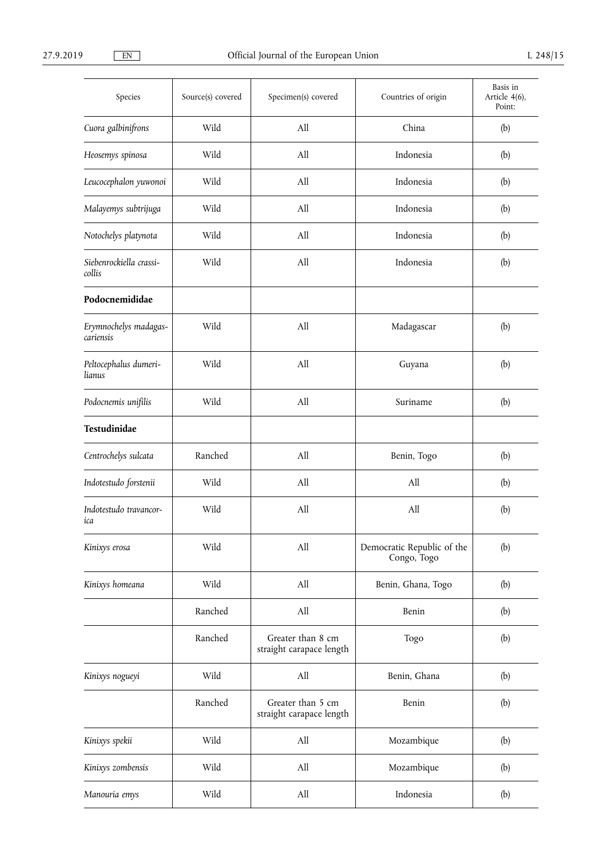| Species                            | Source(s) covered | Specimen(s) covered                           | Countries of origin                       | Basis in<br>Article 4(6),<br>Point: |
|------------------------------------|-------------------|-----------------------------------------------|-------------------------------------------|-------------------------------------|
| Cuora galbinifrons                 | Wild              | All                                           | China                                     | (b)                                 |
| Heosemys spinosa                   | Wild              | All                                           | Indonesia                                 | (b)                                 |
| Leucocephalon yuwonoi              | Wild              | All                                           | Indonesia                                 | (b)                                 |
| Malayemys subtrijuga               | Wild              | All                                           | Indonesia                                 | (b)                                 |
| Notochelys platynota               | Wild              | All                                           | Indonesia                                 | (b)                                 |
| Siebenrockiella crassi-<br>collis  | Wild              | All                                           | Indonesia                                 | (b)                                 |
| Podocnemididae                     |                   |                                               |                                           |                                     |
| Erymnochelys madagas-<br>cariensis | Wild              | All                                           | Madagascar                                | (b)                                 |
| Peltocephalus dumeri-<br>lianus    | Wild              | All                                           | Guyana                                    | (b)                                 |
| Podocnemis unifilis                | Wild              | All                                           | Suriname                                  | (b)                                 |
| Testudinidae                       |                   |                                               |                                           |                                     |
| Centrochelys sulcata               | Ranched           | All                                           | Benin, Togo                               | (b)                                 |
| Indotestudo forstenii              | Wild              | All                                           | All                                       | (b)                                 |
| Indotestudo travancor-<br>ica      | Wild              | All                                           | All                                       | (b)                                 |
| Kinixys erosa                      | Wild              | All                                           | Democratic Republic of the<br>Congo, Togo | (b)                                 |
| Kinixys homeana                    | Wild              | All                                           | Benin, Ghana, Togo                        | (b)                                 |
|                                    | Ranched           | All                                           | Benin                                     | (b)                                 |
|                                    | Ranched           | Greater than 8 cm<br>straight carapace length | Togo                                      | (b)                                 |
| Kinixys nogueyi                    | Wild              | All                                           | Benin, Ghana                              | (b)                                 |
|                                    | Ranched           | Greater than 5 cm<br>straight carapace length | Benin                                     | (b)                                 |
| Kinixys spekii                     | Wild              | All                                           | Mozambique                                | (b)                                 |
| Kinixys zombensis                  | Wild              | All                                           | Mozambique                                | (b)                                 |
| Manouria emys                      | Wild              | All                                           | Indonesia                                 | (b)                                 |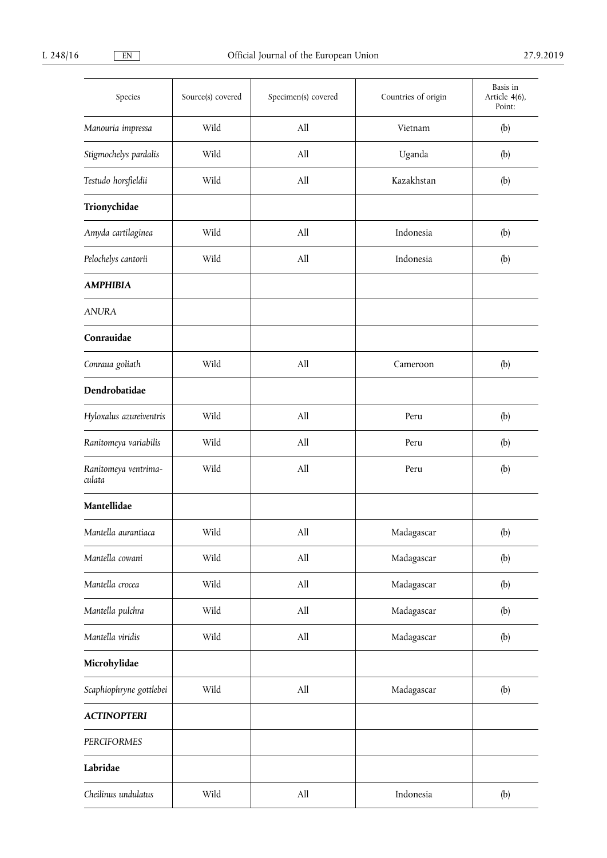| Species                        | Source(s) covered | Specimen(s) covered | Countries of origin | Basis in<br>Article 4(6),<br>Point: |
|--------------------------------|-------------------|---------------------|---------------------|-------------------------------------|
| Manouria impressa              | Wild              | All                 | Vietnam             | (b)                                 |
| Stigmochelys pardalis          | Wild              | All                 | Uganda              | (b)                                 |
| Testudo horsfieldii            | Wild              | All                 | Kazakhstan          | (b)                                 |
| Trionychidae                   |                   |                     |                     |                                     |
| Amyda cartilaginea             | Wild              | All                 | Indonesia           | (b)                                 |
| Pelochelys cantorii            | Wild              | All                 | Indonesia           | (b)                                 |
| <b>AMPHIBIA</b>                |                   |                     |                     |                                     |
| <b>ANURA</b>                   |                   |                     |                     |                                     |
| Conrauidae                     |                   |                     |                     |                                     |
| Conraua goliath                | Wild              | All                 | Cameroon            | (b)                                 |
| Dendrobatidae                  |                   |                     |                     |                                     |
| Hyloxalus azureiventris        | Wild              | All                 | Peru                | (b)                                 |
| Ranitomeya variabilis          | Wild              | All                 | Peru                | (b)                                 |
| Ranitomeya ventrima-<br>culata | Wild              | All                 | Peru                | (b)                                 |
| Mantellidae                    |                   |                     |                     |                                     |
| Mantella aurantiaca            | Wild              | All                 | Madagascar          | (b)                                 |
| Mantella cowani                | Wild              | $\mathrm{All}$      | Madagascar          | (b)                                 |
| Mantella crocea                | Wild              | $\mathrm{All}$      | Madagascar          | (b)                                 |
| Mantella pulchra               | Wild              | All                 | Madagascar          | (b)                                 |
| Mantella viridis               | Wild              | All                 | Madagascar          | (b)                                 |
| Microhylidae                   |                   |                     |                     |                                     |
| Scaphiophryne gottlebei        | Wild              | All                 | Madagascar          | (b)                                 |
| <b>ACTINOPTERI</b>             |                   |                     |                     |                                     |
| PERCIFORMES                    |                   |                     |                     |                                     |
| Labridae                       |                   |                     |                     |                                     |
| Cheilinus undulatus            | Wild              | All                 | Indonesia           | (b)                                 |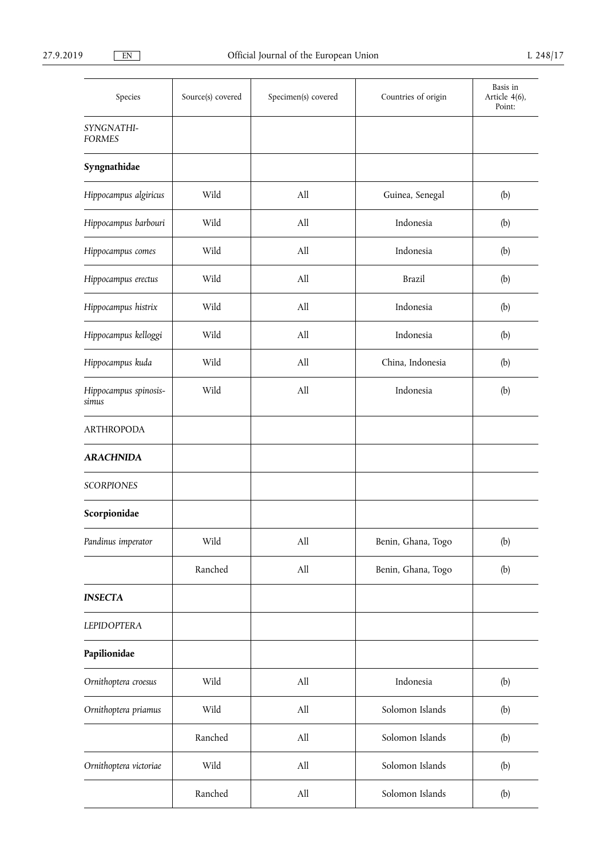| Species                        | Source(s) covered | Specimen(s) covered | Countries of origin | Basis in<br>Article 4(6),<br>Point: |
|--------------------------------|-------------------|---------------------|---------------------|-------------------------------------|
| SYNGNATHI-<br><b>FORMES</b>    |                   |                     |                     |                                     |
| Syngnathidae                   |                   |                     |                     |                                     |
| Hippocampus algiricus          | Wild              | All                 | Guinea, Senegal     | (b)                                 |
| Hippocampus barbouri           | Wild              | All                 | Indonesia           | (b)                                 |
| Hippocampus comes              | Wild              | All                 | Indonesia           | (b)                                 |
| Hippocampus erectus            | Wild              | All                 | <b>Brazil</b>       | (b)                                 |
| Hippocampus histrix            | Wild              | All                 | Indonesia           | (b)                                 |
| Hippocampus kelloggi           | Wild              | All                 | Indonesia           | (b)                                 |
| Hippocampus kuda               | Wild              | All                 | China, Indonesia    | (b)                                 |
| Hippocampus spinosis-<br>simus | Wild              | All                 | Indonesia           | (b)                                 |
| <b>ARTHROPODA</b>              |                   |                     |                     |                                     |
| <b>ARACHNIDA</b>               |                   |                     |                     |                                     |
| <b>SCORPIONES</b>              |                   |                     |                     |                                     |
| Scorpionidae                   |                   |                     |                     |                                     |
| Pandinus imperator             | Wild              | All                 | Benin, Ghana, Togo  | (b)                                 |
|                                | Ranched           | All                 | Benin, Ghana, Togo  | (b)                                 |
| <b>INSECTA</b>                 |                   |                     |                     |                                     |
| <b>LEPIDOPTERA</b>             |                   |                     |                     |                                     |
| Papilionidae                   |                   |                     |                     |                                     |
| Ornithoptera croesus           | Wild              | All                 | Indonesia           | (b)                                 |
| Ornithoptera priamus           | Wild              | All                 | Solomon Islands     | (b)                                 |
|                                | Ranched           | All                 | Solomon Islands     | (b)                                 |
| Ornithoptera victoriae         | Wild              | All                 | Solomon Islands     | (b)                                 |
|                                | Ranched           | All                 | Solomon Islands     | (b)                                 |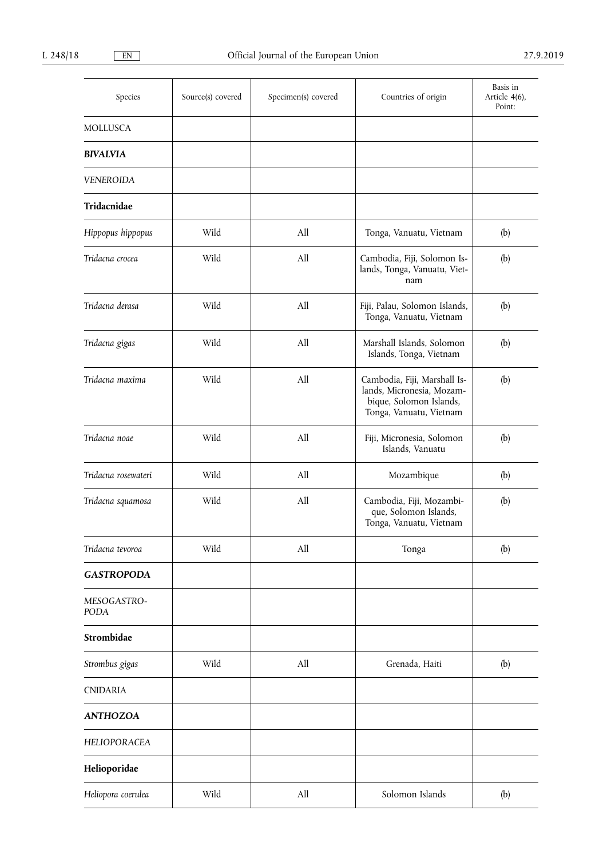| Species             | Source(s) covered | Specimen(s) covered | Countries of origin                                                                                             | Basis in<br>Article 4(6),<br>Point: |
|---------------------|-------------------|---------------------|-----------------------------------------------------------------------------------------------------------------|-------------------------------------|
| <b>MOLLUSCA</b>     |                   |                     |                                                                                                                 |                                     |
| <b>BIVALVIA</b>     |                   |                     |                                                                                                                 |                                     |
| <b>VENEROIDA</b>    |                   |                     |                                                                                                                 |                                     |
| Tridacnidae         |                   |                     |                                                                                                                 |                                     |
| Hippopus hippopus   | Wild              | All                 | Tonga, Vanuatu, Vietnam                                                                                         | (b)                                 |
| Tridacna crocea     | Wild              | All                 | Cambodia, Fiji, Solomon Is-<br>lands, Tonga, Vanuatu, Viet-<br>nam                                              | (b)                                 |
| Tridacna derasa     | Wild              | All                 | Fiji, Palau, Solomon Islands,<br>Tonga, Vanuatu, Vietnam                                                        | (b)                                 |
| Tridacna gigas      | Wild              | All                 | Marshall Islands, Solomon<br>Islands, Tonga, Vietnam                                                            | (b)                                 |
| Tridacna maxima     | Wild              | All                 | Cambodia, Fiji, Marshall Is-<br>lands, Micronesia, Mozam-<br>bique, Solomon Islands,<br>Tonga, Vanuatu, Vietnam | (b)                                 |
| Tridacna noae       | Wild              | All                 | Fiji, Micronesia, Solomon<br>Islands, Vanuatu                                                                   | (b)                                 |
| Tridacna rosewateri | Wild              | All                 | Mozambique                                                                                                      | (b)                                 |
| Tridacna squamosa   | Wild              | All                 | Cambodia, Fiji, Mozambi-<br>que, Solomon Islands,<br>Tonga, Vanuatu, Vietnam                                    | (b)                                 |
| Tridacna tevoroa    | Wild              | All                 | Tonga                                                                                                           | (b)                                 |
| <b>GASTROPODA</b>   |                   |                     |                                                                                                                 |                                     |
| MESOGASTRO-<br>PODA |                   |                     |                                                                                                                 |                                     |
| Strombidae          |                   |                     |                                                                                                                 |                                     |
| Strombus gigas      | Wild              | All                 | Grenada, Haiti                                                                                                  | (b)                                 |
| <b>CNIDARIA</b>     |                   |                     |                                                                                                                 |                                     |
| <b>ANTHOZOA</b>     |                   |                     |                                                                                                                 |                                     |
| HELIOPORACEA        |                   |                     |                                                                                                                 |                                     |
| Helioporidae        |                   |                     |                                                                                                                 |                                     |
| Heliopora coerulea  | Wild              | All                 | Solomon Islands                                                                                                 | (b)                                 |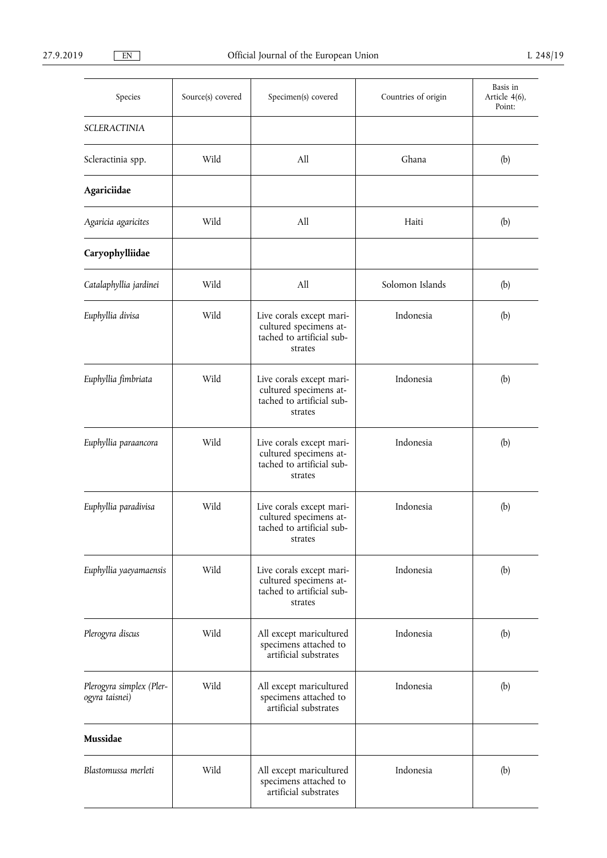| Species                                    | Source(s) covered | Specimen(s) covered                                                                        | Countries of origin | Basis in<br>Article 4(6),<br>Point: |
|--------------------------------------------|-------------------|--------------------------------------------------------------------------------------------|---------------------|-------------------------------------|
| <b>SCLERACTINIA</b>                        |                   |                                                                                            |                     |                                     |
| Scleractinia spp.                          | Wild              | All                                                                                        | Ghana               | (b)                                 |
| Agariciidae                                |                   |                                                                                            |                     |                                     |
| Agaricia agaricites                        | Wild              | All                                                                                        | Haiti               | (b)                                 |
| Caryophylliidae                            |                   |                                                                                            |                     |                                     |
| Catalaphyllia jardinei                     | Wild              | All                                                                                        | Solomon Islands     | (b)                                 |
| Euphyllia divisa                           | Wild              | Live corals except mari-<br>cultured specimens at-<br>tached to artificial sub-<br>strates | Indonesia           | (b)                                 |
| Euphyllia fimbriata                        | Wild              | Live corals except mari-<br>cultured specimens at-<br>tached to artificial sub-<br>strates | Indonesia           | (b)                                 |
| Euphyllia paraancora                       | Wild              | Live corals except mari-<br>cultured specimens at-<br>tached to artificial sub-<br>strates | Indonesia           | (b)                                 |
| Euphyllia paradivisa                       | Wild              | Live corals except mari-<br>cultured specimens at-<br>tached to artificial sub-<br>strates | Indonesia           | (b)                                 |
| Euphyllia yaeyamaensis                     | Wild              | Live corals except mari-<br>cultured specimens at-<br>tached to artificial sub-<br>strates | Indonesia           | (b)                                 |
| Plerogyra discus                           | Wild              | All except maricultured<br>specimens attached to<br>artificial substrates                  | Indonesia           | (b)                                 |
| Plerogyra simplex (Pler-<br>ogyra taisnei) | Wild              | All except maricultured<br>specimens attached to<br>artificial substrates                  | Indonesia           | (b)                                 |
| Mussidae                                   |                   |                                                                                            |                     |                                     |
| Blastomussa merleti                        | Wild              | All except maricultured<br>specimens attached to<br>artificial substrates                  | Indonesia           | (b)                                 |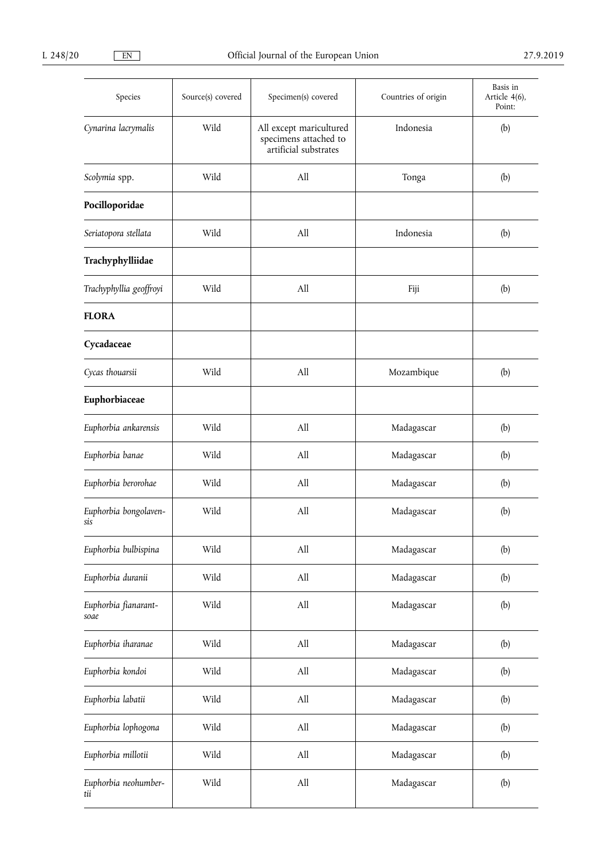| Species                      | Source(s) covered | Specimen(s) covered                                                       | Countries of origin | Basis in<br>Article 4(6),<br>Point: |
|------------------------------|-------------------|---------------------------------------------------------------------------|---------------------|-------------------------------------|
| Cynarina lacrymalis          | Wild              | All except maricultured<br>specimens attached to<br>artificial substrates | Indonesia           | (b)                                 |
| Scolymia spp.                | Wild              | All                                                                       | Tonga               | (b)                                 |
| Pocilloporidae               |                   |                                                                           |                     |                                     |
| Seriatopora stellata         | Wild              | All                                                                       | Indonesia           | (b)                                 |
| Trachyphylliidae             |                   |                                                                           |                     |                                     |
| Trachyphyllia geoffroyi      | Wild              | All                                                                       | Fiji                | (b)                                 |
| <b>FLORA</b>                 |                   |                                                                           |                     |                                     |
| Cycadaceae                   |                   |                                                                           |                     |                                     |
| Cycas thouarsii              | Wild              | All                                                                       | Mozambique          | (b)                                 |
| Euphorbiaceae                |                   |                                                                           |                     |                                     |
| Euphorbia ankarensis         | Wild              | All                                                                       | Madagascar          | (b)                                 |
| Euphorbia banae              | Wild              | All                                                                       | Madagascar          | (b)                                 |
| Euphorbia berorohae          | Wild              | All                                                                       | Madagascar          | (b)                                 |
| Euphorbia bongolaven-<br>sis | Wild              | All                                                                       | Madagascar          | (b)                                 |
| Euphorbia bulbispina         | Wild              | All                                                                       | Madagascar          | (b)                                 |
| Euphorbia duranii            | Wild              | All                                                                       | Madagascar          | (b)                                 |
| Euphorbia fianarant-<br>soae | Wild              | All                                                                       | Madagascar          | (b)                                 |
| Euphorbia iharanae           | Wild              | $\mathrm{All}$                                                            | Madagascar          | (b)                                 |
| Euphorbia kondoi             | Wild              | All                                                                       | Madagascar          | (b)                                 |
| Euphorbia labatii            | Wild              | All                                                                       | Madagascar          | (b)                                 |
| Euphorbia lophogona          | Wild              | $\mathrm{All}$                                                            | Madagascar          | (b)                                 |
| Euphorbia millotii           | Wild              | All                                                                       | Madagascar          | (b)                                 |
| Euphorbia neohumber-<br>tii  | Wild              | All                                                                       | Madagascar          | (b)                                 |